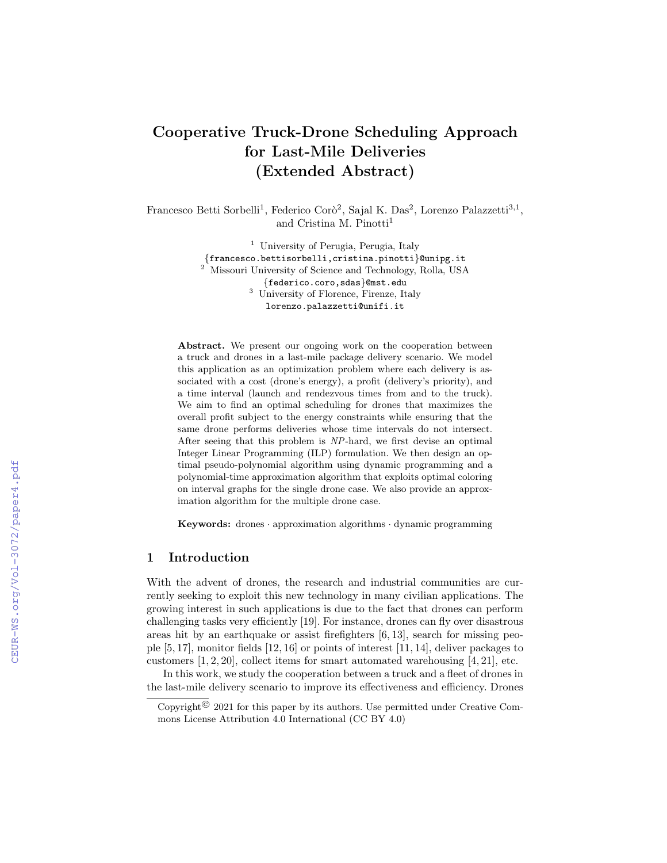# Cooperative Truck-Drone Scheduling Approach for Last-Mile Deliveries (Extended Abstract)

Francesco Betti Sorbelli<sup>1</sup>, Federico Corò<sup>2</sup>, Sajal K. Das<sup>2</sup>, Lorenzo Palazzetti<sup>3,1</sup>, and Cristina M. Pinotti<sup>1</sup>

> <sup>1</sup> University of Perugia, Perugia, Italy {francesco.bettisorbelli,cristina.pinotti}@unipg.it <sup>2</sup> Missouri University of Science and Technology, Rolla, USA {federico.coro,sdas}@mst.edu <sup>3</sup> University of Florence, Firenze, Italy lorenzo.palazzetti@unifi.it

Abstract. We present our ongoing work on the cooperation between a truck and drones in a last-mile package delivery scenario. We model this application as an optimization problem where each delivery is associated with a cost (drone's energy), a profit (delivery's priority), and a time interval (launch and rendezvous times from and to the truck). We aim to find an optimal scheduling for drones that maximizes the overall profit subject to the energy constraints while ensuring that the same drone performs deliveries whose time intervals do not intersect. After seeing that this problem is NP-hard, we first devise an optimal Integer Linear Programming (ILP) formulation. We then design an optimal pseudo-polynomial algorithm using dynamic programming and a polynomial-time approximation algorithm that exploits optimal coloring on interval graphs for the single drone case. We also provide an approximation algorithm for the multiple drone case.

**Keywords:** drones  $\cdot$  approximation algorithms  $\cdot$  dynamic programming

## 1 Introduction

With the advent of drones, the research and industrial communities are currently seeking to exploit this new technology in many civilian applications. The growing interest in such applications is due to the fact that drones can perform challenging tasks very efficiently [19]. For instance, drones can fly over disastrous areas hit by an earthquake or assist firefighters [6, 13], search for missing people [5, 17], monitor fields [12, 16] or points of interest [11, 14], deliver packages to customers  $[1, 2, 20]$ , collect items for smart automated warehousing  $[4, 21]$ , etc.

In this work, we study the cooperation between a truck and a fleet of drones in the last-mile delivery scenario to improve its effectiveness and efficiency. Drones

Copyright<sup> $©$ </sup> 2021 for this paper by its authors. Use permitted under Creative Commons License Attribution 4.0 International (CC BY 4.0)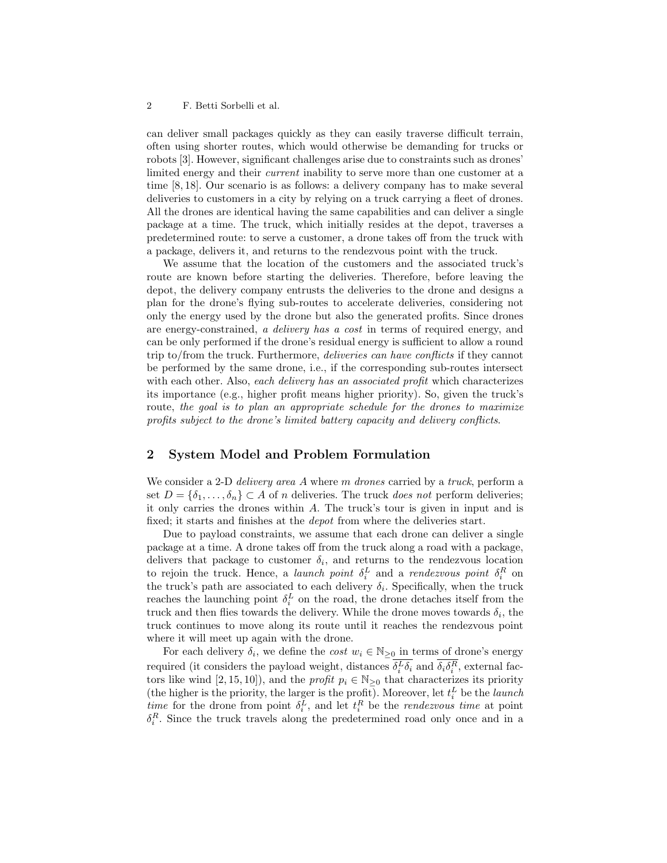#### 2 F. Betti Sorbelli et al.

can deliver small packages quickly as they can easily traverse difficult terrain, often using shorter routes, which would otherwise be demanding for trucks or robots [3]. However, significant challenges arise due to constraints such as drones' limited energy and their *current* inability to serve more than one customer at a time [8, 18]. Our scenario is as follows: a delivery company has to make several deliveries to customers in a city by relying on a truck carrying a fleet of drones. All the drones are identical having the same capabilities and can deliver a single package at a time. The truck, which initially resides at the depot, traverses a predetermined route: to serve a customer, a drone takes off from the truck with a package, delivers it, and returns to the rendezvous point with the truck.

We assume that the location of the customers and the associated truck's route are known before starting the deliveries. Therefore, before leaving the depot, the delivery company entrusts the deliveries to the drone and designs a plan for the drone's flying sub-routes to accelerate deliveries, considering not only the energy used by the drone but also the generated profits. Since drones are energy-constrained, a delivery has a cost in terms of required energy, and can be only performed if the drone's residual energy is sufficient to allow a round trip to/from the truck. Furthermore, deliveries can have conflicts if they cannot be performed by the same drone, i.e., if the corresponding sub-routes intersect with each other. Also, each delivery has an associated profit which characterizes its importance (e.g., higher profit means higher priority). So, given the truck's route, the goal is to plan an appropriate schedule for the drones to maximize profits subject to the drone's limited battery capacity and delivery conflicts.

## 2 System Model and Problem Formulation

We consider a 2-D *delivery area A* where m *drones* carried by a *truck*, perform a set  $D = \{\delta_1, \ldots, \delta_n\} \subset A$  of n deliveries. The truck does not perform deliveries; it only carries the drones within A. The truck's tour is given in input and is fixed; it starts and finishes at the depot from where the deliveries start.

Due to payload constraints, we assume that each drone can deliver a single package at a time. A drone takes off from the truck along a road with a package, delivers that package to customer  $\delta_i$ , and returns to the rendezvous location to rejoin the truck. Hence, a *launch point*  $\delta_i^L$  and a *rendezvous point*  $\delta_i^R$  on the truck's path are associated to each delivery  $\delta_i$ . Specifically, when the truck reaches the launching point  $\delta_i^L$  on the road, the drone detaches itself from the truck and then flies towards the delivery. While the drone moves towards  $\delta_i$ , the truck continues to move along its route until it reaches the rendezvous point where it will meet up again with the drone.

For each delivery  $\delta_i$ , we define the *cost*  $w_i \in \mathbb{N}_{\geq 0}$  in terms of drone's energy required (it considers the payload weight, distances  $\delta_i^L \delta_i$  and  $\delta_i \delta_i^R$ , external factors like wind [2, 15, 10]), and the *profit*  $p_i \in \mathbb{N}_{\geq 0}$  that characterizes its priority (the higher is the priority, the larger is the profit). Moreover, let  $t_i^L$  be the *launch* time for the drone from point  $\delta_i^L$ , and let  $t_i^R$  be the *rendezvous time* at point  $\delta_i^R$ . Since the truck travels along the predetermined road only once and in a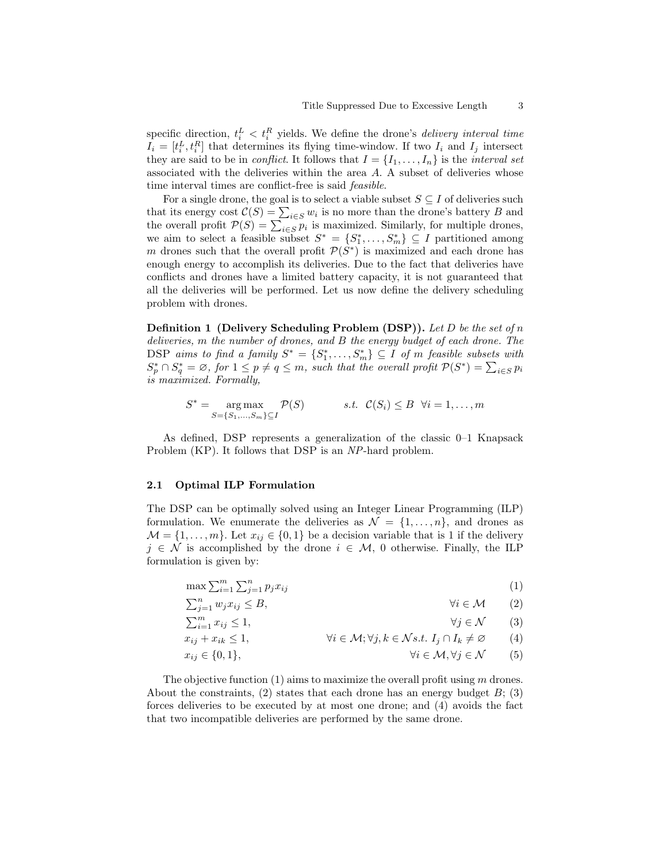specific direction,  $t_i^L < t_i^R$  yields. We define the drone's *delivery interval time*  $I_i = [t_i^L, t_i^R]$  that determines its flying time-window. If two  $I_i$  and  $I_j$  intersect they are said to be in *conflict*. It follows that  $I = \{I_1, \ldots, I_n\}$  is the *interval set* associated with the deliveries within the area A. A subset of deliveries whose time interval times are conflict-free is said feasible.

For a single drone, the goal is to select a viable subset  $S \subseteq I$  of deliveries such that its energy cost  $\mathcal{C}(S) = \sum_{i \in S} w_i$  is no more than the drone's battery B and the overall profit  $\mathcal{P}(S) = \sum_{i \in S} p_i$  is maximized. Similarly, for multiple drones, we aim to select a feasible subset  $S^* = \{S_1^*, \ldots, S_m^*\} \subseteq I$  partitioned among m drones such that the overall profit  $\mathcal{P}(S^*)$  is maximized and each drone has enough energy to accomplish its deliveries. Due to the fact that deliveries have conflicts and drones have a limited battery capacity, it is not guaranteed that all the deliveries will be performed. Let us now define the delivery scheduling problem with drones.

**Definition 1 (Delivery Scheduling Problem (DSP)).** Let D be the set of n deliveries, m the number of drones, and B the energy budget of each drone. The DSP aims to find a family  $S^* = \{S_1^*, \ldots, S_m^*\} \subseteq I$  of m feasible subsets with  $S_p^* \cap S_q^* = \emptyset$ , for  $1 \leq p \neq q \leq m$ , such that the overall profit  $\mathcal{P}(S^*) = \sum_{i \in S} p_i$ is maximized. Formally,

$$
S^* = \underset{S = \{S_1, \dots, S_m\} \subseteq I}{\text{arg max}} \mathcal{P}(S) \qquad s.t. \ \mathcal{C}(S_i) \leq B \ \forall i = 1, \dots, m
$$

As defined, DSP represents a generalization of the classic 0–1 Knapsack Problem (KP). It follows that DSP is an NP-hard problem.

### 2.1 Optimal ILP Formulation

The DSP can be optimally solved using an Integer Linear Programming (ILP) formulation. We enumerate the deliveries as  $\mathcal{N} = \{1, \ldots, n\}$ , and drones as  $\mathcal{M} = \{1, \ldots, m\}$ . Let  $x_{ij} \in \{0, 1\}$  be a decision variable that is 1 if the delivery  $j \in \mathcal{N}$  is accomplished by the drone  $i \in \mathcal{M}$ , 0 otherwise. Finally, the ILP formulation is given by:

$$
\max \sum_{i=1}^{m} \sum_{j=1}^{n} p_j x_{ij} \tag{1}
$$

$$
\sum_{j=1}^{n} w_j x_{ij} \le B,\qquad \forall i \in \mathcal{M} \qquad (2)
$$

$$
\sum_{i=1}^{m} x_{ij} \le 1,\tag{3}
$$

$$
x_{ij} + x_{ik} \le 1, \qquad \forall i \in \mathcal{M}; \forall j, k \in \mathcal{N} s.t. \ I_j \cap I_k \ne \emptyset \qquad (4)
$$

$$
x_{ij} \in \{0, 1\}, \qquad \forall i \in \mathcal{M}, \forall j \in \mathcal{N} \qquad (5)
$$

The objective function  $(1)$  aims to maximize the overall profit using m drones. About the constraints, (2) states that each drone has an energy budget  $B$ ; (3) forces deliveries to be executed by at most one drone; and (4) avoids the fact that two incompatible deliveries are performed by the same drone.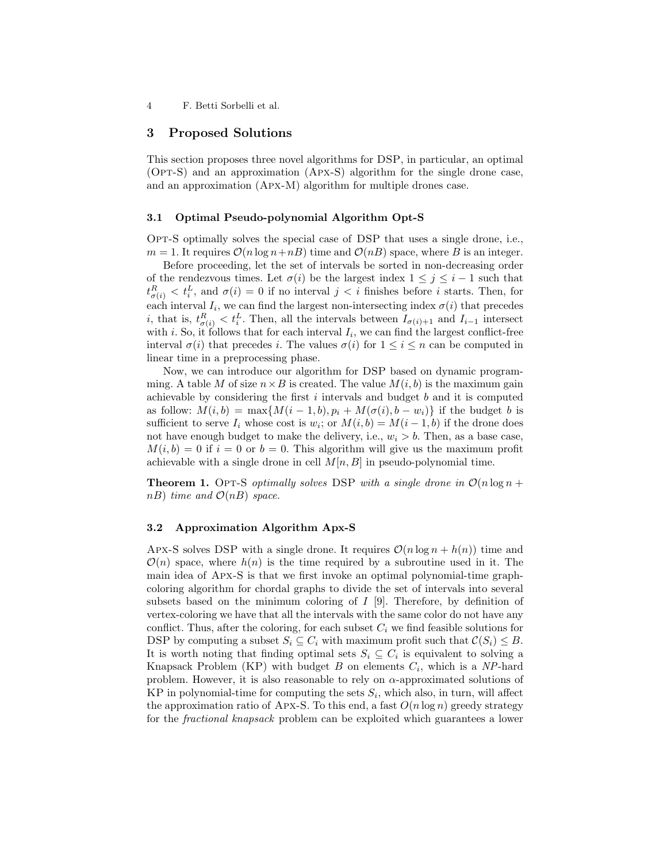4 F. Betti Sorbelli et al.

## 3 Proposed Solutions

This section proposes three novel algorithms for DSP, in particular, an optimal  $(OPT-S)$  and an approximation  $(APX-S)$  algorithm for the single drone case, and an approximation (Apx-M) algorithm for multiple drones case.

#### 3.1 Optimal Pseudo-polynomial Algorithm Opt-S

Opt-S optimally solves the special case of DSP that uses a single drone, i.e.,  $m = 1$ . It requires  $\mathcal{O}(n \log n + n)$  time and  $\mathcal{O}(n)$  space, where B is an integer.

Before proceeding, let the set of intervals be sorted in non-decreasing order of the rendezvous times. Let  $\sigma(i)$  be the largest index  $1 \leq j \leq i-1$  such that  $t^R_{\sigma(i)} < t^L_i$ , and  $\sigma(i) = 0$  if no interval  $j < i$  finishes before i starts. Then, for each interval  $I_i$ , we can find the largest non-intersecting index  $\sigma(i)$  that precedes i, that is,  $t_{\sigma(i)}^R < t_i^L$ . Then, all the intervals between  $I_{\sigma(i)+1}$  and  $I_{i-1}$  intersect with *i*. So, it follows that for each interval  $I_i$ , we can find the largest conflict-free interval  $\sigma(i)$  that precedes i. The values  $\sigma(i)$  for  $1 \leq i \leq n$  can be computed in linear time in a preprocessing phase.

Now, we can introduce our algorithm for DSP based on dynamic programming. A table M of size  $n \times B$  is created. The value  $M(i, b)$  is the maximum gain achievable by considering the first  $i$  intervals and budget  $b$  and it is computed as follow:  $M(i, b) = \max\{M(i - 1, b), p_i + M(\sigma(i), b - w_i)\}\$ if the budget b is sufficient to serve  $I_i$  whose cost is  $w_i$ ; or  $M(i, b) = M(i - 1, b)$  if the drone does not have enough budget to make the delivery, i.e.,  $w_i > b$ . Then, as a base case,  $M(i, b) = 0$  if  $i = 0$  or  $b = 0$ . This algorithm will give us the maximum profit achievable with a single drone in cell  $M[n, B]$  in pseudo-polynomial time.

**Theorem 1.** Opt-S optimally solves DSP with a single drone in  $\mathcal{O}(n \log n +$ nB) time and  $\mathcal{O}(nB)$  space.

## 3.2 Approximation Algorithm Apx-S

Apx-S solves DSP with a single drone. It requires  $\mathcal{O}(n \log n + h(n))$  time and  $\mathcal{O}(n)$  space, where  $h(n)$  is the time required by a subroutine used in it. The main idea of Apx-S is that we first invoke an optimal polynomial-time graphcoloring algorithm for chordal graphs to divide the set of intervals into several subsets based on the minimum coloring of  $I$  [9]. Therefore, by definition of vertex-coloring we have that all the intervals with the same color do not have any conflict. Thus, after the coloring, for each subset  $C_i$  we find feasible solutions for DSP by computing a subset  $S_i \subseteq C_i$  with maximum profit such that  $\mathcal{C}(S_i) \leq B$ . It is worth noting that finding optimal sets  $S_i \subseteq C_i$  is equivalent to solving a Knapsack Problem (KP) with budget  $B$  on elements  $C_i$ , which is a NP-hard problem. However, it is also reasonable to rely on  $\alpha$ -approximated solutions of KP in polynomial-time for computing the sets  $S_i$ , which also, in turn, will affect the approximation ratio of Apx-S. To this end, a fast  $O(n \log n)$  greedy strategy for the fractional knapsack problem can be exploited which guarantees a lower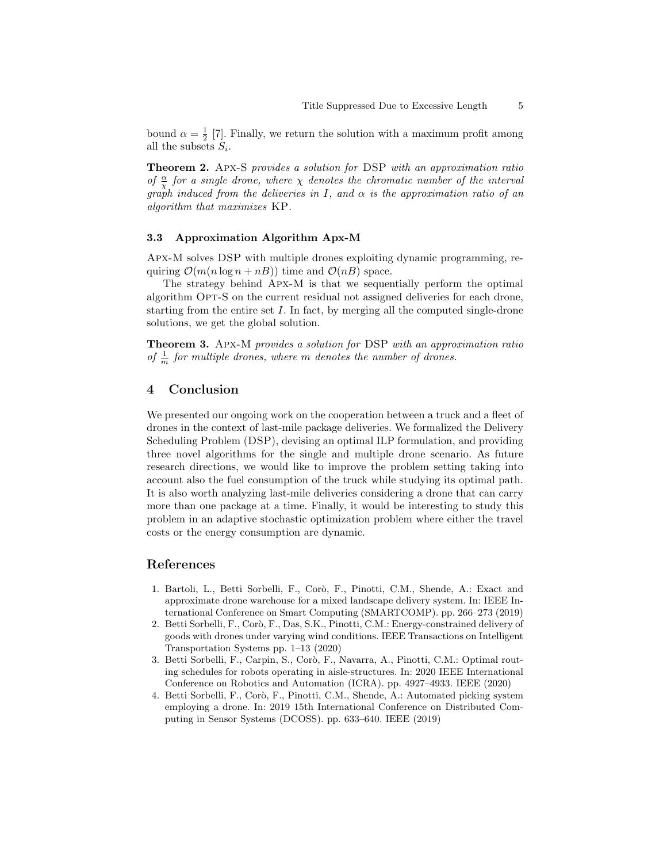bound  $\alpha = \frac{1}{2}$  [7]. Finally, we return the solution with a maximum profit among all the subsets  $S_i$ .

Theorem 2. Apx-S provides a solution for DSP with an approximation ratio of  $\frac{\alpha}{\chi}$  for a single drone, where  $\chi$  denotes the chromatic number of the interval graph induced from the deliveries in I, and  $\alpha$  is the approximation ratio of an algorithm that maximizes KP.

## 3.3 Approximation Algorithm Apx-M

Apx-M solves DSP with multiple drones exploiting dynamic programming, requiring  $\mathcal{O}(m(n \log n + nB))$  time and  $\mathcal{O}(nB)$  space.

The strategy behind Apx-M is that we sequentially perform the optimal algorithm Opt-S on the current residual not assigned deliveries for each drone, starting from the entire set I. In fact, by merging all the computed single-drone solutions, we get the global solution.

Theorem 3. Apx-M provides a solution for DSP with an approximation ratio of  $\frac{1}{m}$  for multiple drones, where m denotes the number of drones.

## 4 Conclusion

We presented our ongoing work on the cooperation between a truck and a fleet of drones in the context of last-mile package deliveries. We formalized the Delivery Scheduling Problem (DSP), devising an optimal ILP formulation, and providing three novel algorithms for the single and multiple drone scenario. As future research directions, we would like to improve the problem setting taking into account also the fuel consumption of the truck while studying its optimal path. It is also worth analyzing last-mile deliveries considering a drone that can carry more than one package at a time. Finally, it would be interesting to study this problem in an adaptive stochastic optimization problem where either the travel costs or the energy consumption are dynamic.

## References

- 1. Bartoli, L., Betti Sorbelli, F., Corò, F., Pinotti, C.M., Shende, A.: Exact and approximate drone warehouse for a mixed landscape delivery system. In: IEEE International Conference on Smart Computing (SMARTCOMP). pp. 266–273 (2019)
- 2. Betti Sorbelli, F., Corò, F., Das, S.K., Pinotti, C.M.: Energy-constrained delivery of goods with drones under varying wind conditions. IEEE Transactions on Intelligent Transportation Systems pp. 1–13 (2020)
- 3. Betti Sorbelli, F., Carpin, S., Corò, F., Navarra, A., Pinotti, C.M.: Optimal routing schedules for robots operating in aisle-structures. In: 2020 IEEE International Conference on Robotics and Automation (ICRA). pp. 4927–4933. IEEE (2020)
- 4. Betti Sorbelli, F., Corò, F., Pinotti, C.M., Shende, A.: Automated picking system employing a drone. In: 2019 15th International Conference on Distributed Computing in Sensor Systems (DCOSS). pp. 633–640. IEEE (2019)